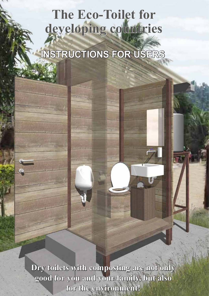# **The Eco-Toilet for developing countries**

**INSTRUCTIONS FOR USERS**

**Dry toilets with composting are not only good for you and your family, but also for the environment!**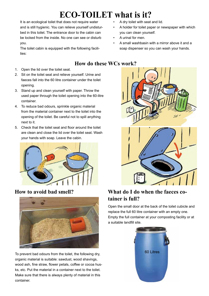## **ECO-TOILET what is it?**

It is an ecological toilet that does not require water and is still hygienic. You can relieve yourself undisturbed in this toilet. The entrance door to the cabin can be locked from the inside. No one can see or disturb you.

The toilet cabin is equipped with the following facilities:

- 1. Open the lid over the toilet seat.
- 2. Sit on the toilet seat and relieve yourself. Urine and faeces fall into the 60 litre container under the toilet opening.
- 3. Stand up and clean yourself with paper. Throw the used paper through the toilet opening into the 60-litre container.
- 4. To reduce bad odours, sprinkle organic material from the material container next to the toilet into the opening of the toilet. Be careful not to spill anything next to it.
- 5. Check that the toilet seat and floor around the toilet are clean and close the lid over the toilet seat. Wash your hands with soap. Leave the cabin.



## **How to avoid bad smell?**



To prevent bad odours from the toilet, the following dry, organic material is suitable: sawdust, wood shavings, wood ash, fine straw, flower petals, coffee or cocoa husks, etc. Put the material in a container next to the toilet. Make sure that there is always plenty of material in this container.

- A dry toilet with seat and lid.
- A holder for toilet paper or newspaper with which you can clean yourself.
- A urinal for men.
- A small washbasin with a mirror above it and a soap dispenser so you can wash your hands.

## **How do these WCs work?**



## **What do I do when the faeces cotainer is full?**

Open the small door at the back of the toilet cubicle and replace the full 60 litre container with an empty one. Empty the full container at your composting facility or at a suitable landfill site.

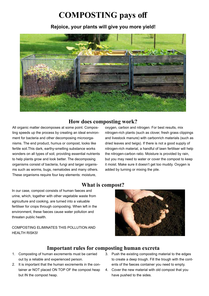## **COMPOSTING pays off**

### **Rejoice, your plants will give you more yield!**



### **How does composting work?**

All organic matter decomposes at some point. Composting speeds up the process by creating an ideal environment for bacteria and other decomposing microorganisms. The end product, humus or compost, looks like fertile soil.This dark, earthy-smelling substance works wonders on all types of soil, providing essential nutrients to help plants grow and look better. The decomposing organisms consist of bacteria, fungi and larger organisms such as worms, bugs, nematodes and many others. These organisms require four key elements: moisture,

## oxygen, carbon and nitrogen. For best results, mix nitrogen-rich plants (such as clover, fresh grass clippings and livestock manure) with carbonrich materials (such as dried leaves and twigs). If there is not a good supply of nitrogen-rich material, a handful of lawn fertiliser will help the nitrogen-carbon ratio. Moisture is provided by rain,

but you may need to water or cover the compost to keep it moist. Make sure it doesn't get too muddy. Oxygen is added by turning or mixing the pile.

## **What is compost?**

In our case, compost consists of human faeces and urine, which, together with other vegetable waste from agriculture and cooking, are turned into a valuable fertiliser for crops through composting. When left in the environment, these faeces cause water pollution and threaten public health.

#### COMPOSTING ELIMINATES THIS POLLUTION AND HEALTH RISKS!



## **Important rules for composting human excreta**

- 1. Composting of human excrements must be carried out by a reliable and experienced person.
- 2. It is important that the human excrements in the container ar NOT placed ON TOP OF the compost heap but IN the compost heap.
- 3. Push the existing composting material to the edges to create a deep trough. Fill the trough with the contents of the faeces container you need to empty.
- 4. Cover the new material with old compost that you have pushed to the sides.